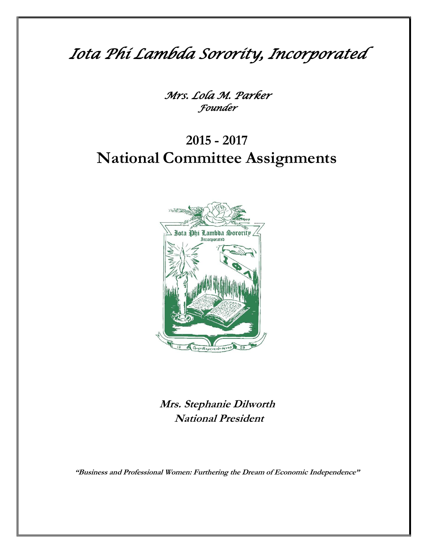*Iota Phi Lambda Sorority, Incorporated*

*Mrs. Lola M. Parker Founder*

# **2015 - 2017 National Committee Assignments**



**Mrs. Stephanie Dilworth National President**

**"Business and Professional Women: Furthering the Dream of Economic Independence"**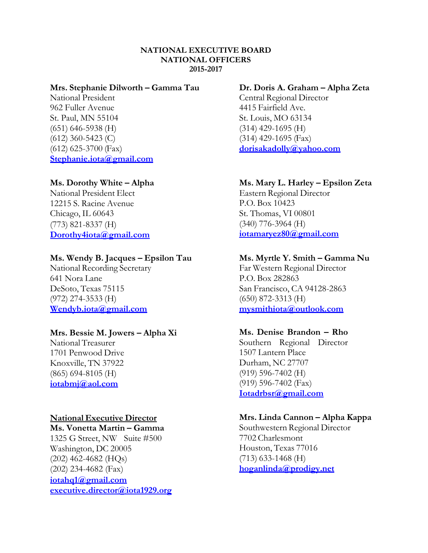## **NATIONAL EXECUTIVE BOARD NATIONAL OFFICERS 2015-2017**

# **Mrs. Stephanie Dilworth – Gamma Tau**

National President 962 Fuller Avenue St. Paul, MN 55104 (651) 646-5938 (H) (612) 360-5423 (C) (612) 625-3700 (Fax) **[Stephanie.iota@gmail.com](mailto:Stephanie.iota@gmail.com)**

# **Ms. Dorothy White – Alpha**

National President Elect 12215 S. Racine Avenue Chicago, IL 60643 (773) 821-8337 (H) **[Dorothy4iota@gmail.com](mailto:Dwhite2go@yahoo.com)**

# **Ms. Wendy B. Jacques – Epsilon Tau**

National Recording Secretary 641 Nora Lane DeSoto, Texas 75115 (972) 274-3533 (H) **[Wendyb.iota@gmail.com](mailto:Wendyb.iota@gmail.com)**

# **Mrs. Bessie M. Jowers – Alpha Xi**

National Treasurer 1701 Penwood Drive Knoxville, TN 37922 (865) 694-8105 (H) **[iotabmj@aol.com](mailto:iotabmj@aol.com)**

# **National Executive Director**

## **Ms. Vonetta Martin – Gamma**

1325 G Street, NW Suite #500 Washington, DC 20005 (202) 462-4682 (HQs) (202) 234-4682 (Fax) **[iotahq1@gmail.com](mailto:iotahq1@gmail.com) executive.director@iota1929.org**

## **Dr. Doris A. Graham – Alpha Zeta**

Central Regional Director 4415 Fairfield Ave. St. Louis, MO 63134 (314) 429-1695 (H) (314) 429-1695 (Fax) **[dorisakadolly@yahoo.com](mailto:dorisakadolly@yahoo.com)**

# **Ms. Mary L. Harley – Epsilon Zeta**

Eastern Regional Director P.O. Box 10423 St. Thomas, VI 00801 (340) 776-3964 (H) **[iotamaryez80@gmail.com](mailto:iotamaryez80@gmail.com)**

## **Ms. Myrtle Y. Smith – Gamma Nu**

Far Western Regional Director P.O. Box 282863 San Francisco, CA 94128-2863 (650) 872-3313 (H) **[mysmithiota@outlook.com](mailto:mysmithiota@outlook.com)**

# **Ms. Denise Brandon – Rho**

Southern Regional Director 1507 Lantern Place Durham, NC 27707 (919) 596-7402 (H) (919) 596-7402 (Fax) **[Iotadrbsr@gmail.com](mailto:Iotadrbsr@gmail.com)**

## **Mrs. Linda Cannon – Alpha Kappa**

Southwestern Regional Director 7702 Charlesmont Houston, Texas 77016 (713) 633-1468 (H) **[hoganlinda@prodigy.net](mailto:hoganlinda@prodigy.net)**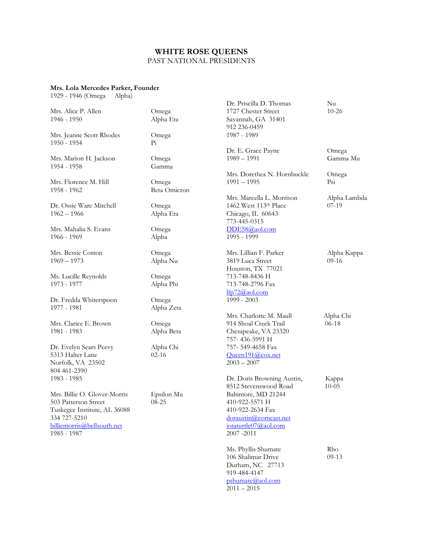# **WHITE ROSE QUEENS**

## PAST NATIONAL PRESIDENTS

#### **Mrs. Lola Mercedes Parker, Founder**

1929 - 1946 (Omega Alpha)

|                              |                | Dr. Priscilla D. Thomas     | Nu           |
|------------------------------|----------------|-----------------------------|--------------|
| Mrs. Alice P. Allen          | Omega          | 1727 Chester Street         | $10 - 26$    |
| 1946 - 1950                  | Alpha Eta      | Savannah, GA 31401          |              |
|                              |                | 912 236-0459                |              |
| Mrs. Jeanne Scott Rhodes     | Omega          | 1987 - 1989                 |              |
| $1950 - 1954$                | P <sub>i</sub> |                             |              |
|                              |                | Dr. E. Grace Payne          | Omega        |
|                              |                | $1989 - 1991$               | Gamma Mu     |
| Mrs. Marion H. Jackson       | Omega          |                             |              |
| 1954 - 1958                  | Gamma          |                             |              |
|                              |                | Mrs. Dorethea N. Hornbuckle | Omega        |
| Mrs. Florence M. Hill        | Omega          | $1991 - 1995$               | Psi          |
| 1958 - 1962                  | Beta Omicron   |                             |              |
|                              |                | Mrs. Marcella L. Morrison   | Alpha Lambda |
| Dr. Ossie Ware Mitchell      | Omega          | 1462 West 113th Place       | $07-19$      |
| $1962 - 1966$                | Alpha Eta      | Chicago, IL 60643           |              |
|                              |                | 773-445-0315                |              |
| Mrs. Mahalia S. Evans        | Omega          | DDE58@aol.com               |              |
| 1966 - 1969                  | Alpha          | 1995 - 1999                 |              |
|                              |                |                             |              |
| Mrs. Bessie Coston           | Omega          | Mrs. Lillian F. Parker      | Alpha Kappa  |
|                              |                |                             |              |
| $1969 - 1973$                | Alpha Nu       | 3819 Luca Street            | $09-16$      |
|                              |                | Houston, TX 77021           |              |
| Ms. Lucille Reynolds         | Omega          | 713-748-8436 H              |              |
| 1973 - 1977                  | Alpha Phi      | 713-748-2796 Fax            |              |
|                              |                | 1fp72@aol.com               |              |
| Dr. Fredda Whiterspoon       | Omega          | 1999 - 2003                 |              |
| 1977 - 1981                  | Alpha Zeta     |                             |              |
|                              |                | Mrs. Charlotte M. Maull     | Alpha Chi    |
| Mrs. Clarice E. Brown        | Omega          | 914 Shoal Creek Trail       | $06-18$      |
| 1981 - 1983                  | Alpha Beta     | Chesapeake, VA 23320        |              |
|                              |                | 757-436-5991 H              |              |
| Dr. Evelyn Sears Peevy       | Alpha Chi      | 757-549-4658 Fax            |              |
| 5313 Halter Lane             | $02 - 16$      | Queen191@cox.net            |              |
| Norfolk, VA 23502            |                | $2003 - 2007$               |              |
| 804 461-2390                 |                |                             |              |
|                              |                |                             |              |
| 1983 - 1985                  |                | Dr. Doris Browning Austin,  | Kappa        |
|                              |                | 8512 Stevenswood Road       | $10 - 05$    |
| Mrs. Billie O. Glover-Morris | Epsilon Mu     | Baltimore, MD 21244         |              |
| 503 Patterson Street         | $08 - 25$      | 410-922-5571 H              |              |
| Tuskegee Institute, AL 36088 |                | 410-922-2634 Fax            |              |
| 334 727-5210                 |                | doraustin@comcast.net       |              |
| billiemorris@bellsouth.net   |                | iotaturtle07@aol.com        |              |
| 1985 - 1987                  |                | 2007-2011                   |              |
|                              |                |                             |              |
|                              |                | Ms. Phyllis Shumate         | Rho          |
|                              |                | 106 Shalimar Drive          | $09-13$      |
|                              |                | Durham, NC 27713            |              |
|                              |                | 919-484-4147                |              |
|                              |                | pshumate@aol.com            |              |
|                              |                | $2011 - 2015$               |              |
|                              |                |                             |              |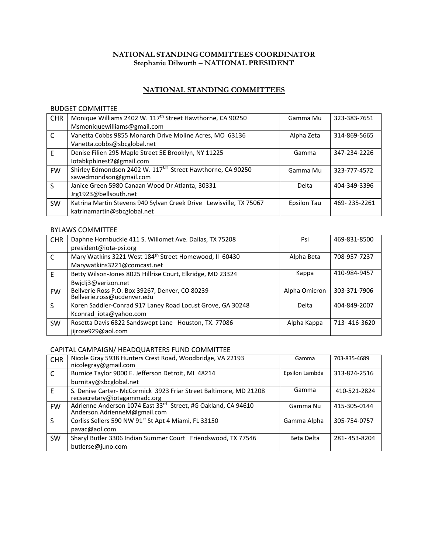## **NATIONAL STANDING COMMITTEES COORDINATOR Stephanie Dilworth – NATIONAL PRESIDENT**

# **NATIONAL STANDING COMMITTEES**

#### BUDGET COMMITTEE

| <b>CHR</b>   | Monique Williams 2402 W. 117 <sup>th</sup> Street Hawthorne, CA 90250  | Gamma Mu    | 323-383-7651 |
|--------------|------------------------------------------------------------------------|-------------|--------------|
|              | Msmoniquewilliams@gmail.com                                            |             |              |
| C            | Vanetta Cobbs 9855 Monarch Drive Moline Acres, MO 63136                | Alpha Zeta  | 314-869-5665 |
|              | Vanetta.cobbs@sbcglobal.net                                            |             |              |
| F            | Denise Filien 295 Maple Street 5E Brooklyn, NY 11225                   | Gamma       | 347-234-2226 |
|              | lotabkphinest2@gmail.com                                               |             |              |
| <b>FW</b>    | Shirley Edmondson 2402 W. 117 <sup>Th</sup> Street Hawthorne, CA 90250 | Gamma Mu    | 323-777-4572 |
|              | sawedmondson@gmail.com                                                 |             |              |
| <sub>S</sub> | Janice Green 5980 Canaan Wood Dr Atlanta, 30331                        | Delta       | 404-349-3396 |
|              | Jrg1923@bellsouth.net                                                  |             |              |
| <b>SW</b>    | Katrina Martin Stevens 940 Sylvan Creek Drive Lewisville, TX 75067     | Epsilon Tau | 469-235-2261 |
|              | katrinamartin@sbcglobal.net                                            |             |              |

#### BYLAWS COMMITTEE

| <b>CHR</b>   | Daphne Hornbuckle 411 S. Willomet Ave. Dallas, TX 75208                        | Psi           | 469-831-8500 |
|--------------|--------------------------------------------------------------------------------|---------------|--------------|
|              | president@iota-psi.org                                                         |               |              |
| C            | Mary Watkins 3221 West 184 <sup>th</sup> Street Homewood, Il 60430             | Alpha Beta    | 708-957-7237 |
|              | Marywatkins3221@comcast.net                                                    |               |              |
| F            | Betty Wilson-Jones 8025 Hillrise Court, Elkridge, MD 23324                     | Kappa         | 410-984-9457 |
|              | Bwjclj3@verizon.net                                                            |               |              |
| <b>FW</b>    | Bellverie Ross P.O. Box 39267, Denver, CO 80239<br>Bellverie.ross@ucdenver.edu | Alpha Omicron | 303-371-7906 |
| <sub>S</sub> | Koren Saddler-Conrad 917 Laney Road Locust Grove, GA 30248                     | Delta         | 404-849-2007 |
|              | Kconrad_iota@yahoo.com                                                         |               |              |
| <b>SW</b>    | Rosetta Davis 6822 Sandswept Lane Houston, TX. 77086                           | Alpha Kappa   | 713-416-3620 |
|              | jijrose929@aol.com                                                             |               |              |

#### CAPITAL CAMPAIGN/ HEADQUARTERS FUND COMMITTEE

| <b>CHR</b>   | Nicole Gray 5938 Hunters Crest Road, Woodbridge, VA 22193<br>nicolegray@gmail.com                 | Gamma          | 703-835-4689 |
|--------------|---------------------------------------------------------------------------------------------------|----------------|--------------|
| $\mathsf{C}$ | Burnice Taylor 9000 E. Jefferson Detroit, MI 48214<br>burnitay@sbcglobal.net                      | Epsilon Lambda | 313-824-2516 |
| F            | S. Denise Carter- McCormick 3923 Friar Street Baltimore, MD 21208<br>recsecretary@iotagammadc.org | Gamma          | 410-521-2824 |
| <b>FW</b>    | Adrienne Anderson 1074 East 33rd Street, #G Oakland, CA 94610<br>Anderson.AdrienneM@gmail.com     | Gamma Nu       | 415-305-0144 |
| S            | Corliss Sellers 590 NW 91st St Apt 4 Miami, FL 33150                                              | Gamma Alpha    | 305-754-0757 |
|              | pavac@aol.com                                                                                     |                |              |
| <b>SW</b>    | Sharyl Butler 3306 Indian Summer Court Friendswood, TX 77546                                      | Beta Delta     | 281-453-8204 |
|              | butlerse@juno.com                                                                                 |                |              |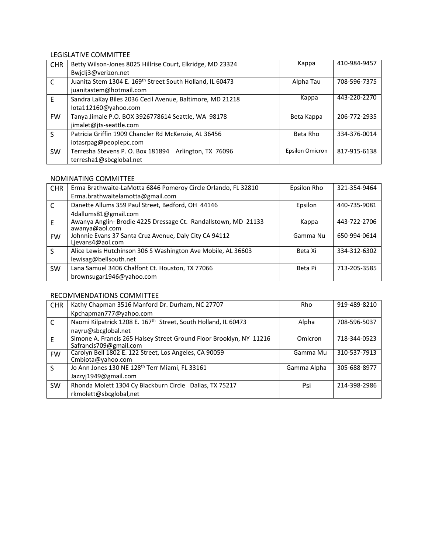## LEGISLATIVE COMMITTEE

| <b>CHR</b>   | Betty Wilson-Jones 8025 Hillrise Court, Elkridge, MD 23324 | Kappa                  | 410-984-9457 |
|--------------|------------------------------------------------------------|------------------------|--------------|
|              | Bwjclj3@verizon.net                                        |                        |              |
| C            | Juanita Stem 1304 E. 169th Street South Holland, IL 60473  | Alpha Tau              | 708-596-7375 |
|              | juanitastem@hotmail.com                                    |                        |              |
| E            | Sandra LaKay Biles 2036 Cecil Avenue, Baltimore, MD 21218  | Kappa                  | 443-220-2270 |
|              | lota112160@yahoo.com                                       |                        |              |
| <b>FW</b>    | Tanya Jimale P.O. BOX 3926778614 Seattle, WA 98178         | Beta Kappa             | 206-772-2935 |
|              | jimalet@jts-seattle.com                                    |                        |              |
| <sub>S</sub> | Patricia Griffin 1909 Chancler Rd McKenzie, AL 36456       | Beta Rho               | 334-376-0014 |
|              | iotasrpag@peoplepc.com                                     |                        |              |
| <b>SW</b>    | Arlington, TX 76096<br>Terresha Stevens P. O. Box 181894   | <b>Epsilon Omicron</b> | 817-915-6138 |
|              | terresha1@sbcglobal.net                                    |                        |              |

#### NOMINATING COMMITTEE

| <b>CHR</b>   | Erma Brathwaite-LaMotta 6846 Pomeroy Circle Orlando, FL 32810  | Epsilon Rho | 321-354-9464 |
|--------------|----------------------------------------------------------------|-------------|--------------|
|              | Erma.brathwaitelamotta@gmail.com                               |             |              |
| C            | Danette Allums 359 Paul Street, Bedford, OH 44146              | Epsilon     | 440-735-9081 |
|              | 4dallums81@gmail.com                                           |             |              |
| F            | Awanya Anglin- Brodie 4225 Dressage Ct. Randallstown, MD 21133 | Kappa       | 443-722-2706 |
|              | awanya@aol.com                                                 |             |              |
| <b>FW</b>    | Johnnie Evans 37 Santa Cruz Avenue, Daly City CA 94112         | Gamma Nu    | 650-994-0614 |
|              | Lievans4@aol.com                                               |             |              |
| <sub>S</sub> | Alice Lewis Hutchinson 306 S Washington Ave Mobile, AL 36603   | Beta Xi     | 334-312-6302 |
|              | lewisag@bellsouth.net                                          |             |              |
| <b>SW</b>    | Lana Samuel 3406 Chalfont Ct. Houston, TX 77066                | Beta Pi     | 713-205-3585 |
|              | brownsugar1946@yahoo.com                                       |             |              |

#### RECOMMENDATIONS COMMITTEE

| <b>CHR</b> | Kathy Chapman 3516 Manford Dr. Durham, NC 27707                            | <b>Rho</b>  | 919-489-8210 |
|------------|----------------------------------------------------------------------------|-------------|--------------|
|            | Kpchapman777@yahoo.com                                                     |             |              |
| C          | Naomi Kilpatrick 1208 E. 167 <sup>th</sup> Street, South Holland, IL 60473 | Alpha       | 708-596-5037 |
|            | nayru@sbcglobal.net                                                        |             |              |
| F          | Simone A. Francis 265 Halsey Street Ground Floor Brooklyn, NY 11216        | Omicron     | 718-344-0523 |
|            | Safrancis709@gmail.com                                                     |             |              |
| <b>FW</b>  | Carolyn Bell 1802 E. 122 Street, Los Angeles, CA 90059                     | Gamma Mu    | 310-537-7913 |
|            | Cmbiota@yahoo.com                                                          |             |              |
| S          | Jo Ann Jones 130 NE 128 <sup>th</sup> Terr Miami, FL 33161                 | Gamma Alpha | 305-688-8977 |
|            | Jazzyj1949@gmail.com                                                       |             |              |
| <b>SW</b>  | Rhonda Molett 1304 Cy Blackburn Circle Dallas, TX 75217                    | Psi         | 214-398-2986 |
|            | rkmolett@sbcglobal,net                                                     |             |              |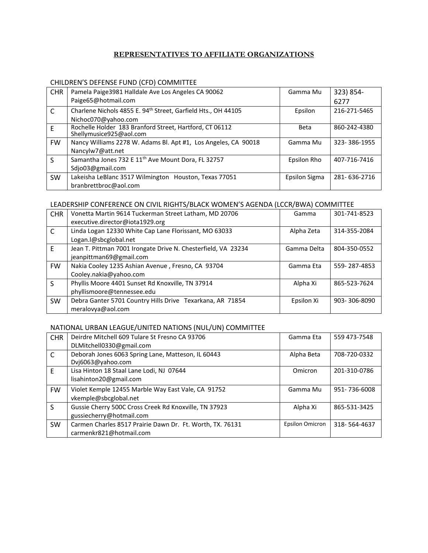## **REPRESENTATIVES TO AFFILIATE ORGANIZATIONS**

## CHILDREN'S DEFENSE FUND (CFD) COMMITTEE

| <b>CHR</b>   | Pamela Paige3981 Halldale Ave Los Angeles CA 90062                                 | Gamma Mu      | 323) 854-    |
|--------------|------------------------------------------------------------------------------------|---------------|--------------|
|              | Paige65@hotmail.com                                                                |               | 6277         |
| $\mathsf{C}$ | Charlene Nichols 4855 E. 94 <sup>th</sup> Street, Garfield Hts., OH 44105          | Epsilon       | 216-271-5465 |
|              | Nichoc070@yahoo.com                                                                |               |              |
| E            | Rochelle Holder 183 Branford Street, Hartford, CT 06112<br>Shellymusice925@aol.com | <b>Beta</b>   | 860-242-4380 |
| <b>FW</b>    | Nancy Williams 2278 W. Adams Bl. Apt #1, Los Angeles, CA 90018                     | Gamma Mu      | 323-386-1955 |
|              | Nancylw7@att.net                                                                   |               |              |
| S            | Samantha Jones 732 E 11 <sup>th</sup> Ave Mount Dora, FL 32757                     | Epsilon Rho   | 407-716-7416 |
|              | Sdjo03@gmail.com                                                                   |               |              |
| <b>SW</b>    | Lakeisha LeBlanc 3517 Wilmington Houston, Texas 77051                              | Epsilon Sigma | 281-636-2716 |
|              | branbrettbroc@aol.com                                                              |               |              |

## LEADERSHIP CONFERENCE ON CIVIL RIGHTS/BLACK WOMEN'S AGENDA (LCCR/BWA) COMMITTEE

| <b>CHR</b> | Vonetta Martin 9614 Tuckerman Street Latham, MD 20706         | Gamma       | 301-741-8523 |
|------------|---------------------------------------------------------------|-------------|--------------|
|            | executive.director@iota1929.org                               |             |              |
| C          | Linda Logan 12330 White Cap Lane Florissant, MO 63033         | Alpha Zeta  | 314-355-2084 |
|            | Logan.l@sbcglobal.net                                         |             |              |
| E          | Jean T. Pittman 7001 Irongate Drive N. Chesterfield, VA 23234 | Gamma Delta | 804-350-0552 |
|            | jeanpittman69@gmail.com                                       |             |              |
| <b>FW</b>  | Nakia Cooley 1235 Ashian Avenue, Fresno, CA 93704             | Gamma Eta   | 559-287-4853 |
|            | Cooley.nakia@yahoo.com                                        |             |              |
| S          | Phyllis Moore 4401 Sunset Rd Knoxville, TN 37914              | Alpha Xi    | 865-523-7624 |
|            | phyllismoore@tennessee.edu                                    |             |              |
| <b>SW</b>  | Debra Ganter 5701 Country Hills Drive Texarkana, AR 71854     | Epsilon Xi  | 903-306-8090 |
|            | meralovya@aol.com                                             |             |              |

# NATIONAL URBAN LEAGUE/UNITED NATIONS (NUL/UN) COMMITTEE

| <b>CHR</b>   | Deirdre Mitchell 609 Tulare St Fresno CA 93706                                       | Gamma Eta       | 559 473-7548 |
|--------------|--------------------------------------------------------------------------------------|-----------------|--------------|
|              | DLMitchell0330@gmail.com                                                             |                 |              |
| $\mathsf{C}$ | Deborah Jones 6063 Spring Lane, Matteson, IL 60443<br>Dvj6063@yahoo.com              | Alpha Beta      | 708-720-0332 |
| E            | Lisa Hinton 18 Staal Lane Lodi, NJ 07644<br>lisahinton20@gmail.com                   | Omicron         | 201-310-0786 |
| <b>FW</b>    | Violet Kemple 12455 Marble Way East Vale, CA 91752<br>vkemple@sbcglobal.net          | Gamma Mu        | 951-736-6008 |
| S            | Gussie Cherry 500C Cross Creek Rd Knoxville, TN 37923<br>gussiecherry@hotmail.com    | Alpha Xi        | 865-531-3425 |
| <b>SW</b>    | Carmen Charles 8517 Prairie Dawn Dr. Ft. Worth, TX. 76131<br>carmenkr821@hotmail.com | Epsilon Omicron | 318-564-4637 |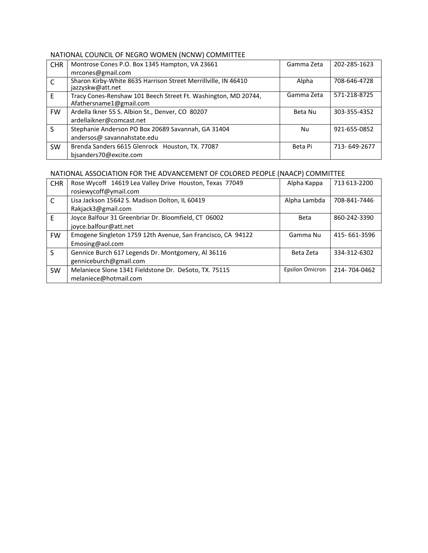# NATIONAL COUNCIL OF NEGRO WOMEN (NCNW) COMMITTEE

| <b>CHR</b>   | Montrose Cones P.O. Box 1345 Hampton, VA 23661                                            | Gamma Zeta | 202-285-1623 |
|--------------|-------------------------------------------------------------------------------------------|------------|--------------|
|              | mrcones@gmail.com                                                                         |            |              |
| C            | Sharon Kirby-White 8635 Harrison Street Merrillville, IN 46410<br>jazzyskw@att.net        | Alpha      | 708-646-4728 |
| F            | Tracy Cones-Renshaw 101 Beech Street Ft. Washington, MD 20744,<br>Afathersname1@gmail.com | Gamma Zeta | 571-218-8725 |
| <b>FW</b>    | Ardella Ikner 55 S. Albion St., Denver, CO 80207                                          | Beta Nu    | 303-355-4352 |
|              | ardellaikner@comcast.net                                                                  |            |              |
| <sub>S</sub> | Stephanie Anderson PO Box 20689 Savannah, GA 31404                                        | Nu         | 921-655-0852 |
|              | andersos@ savannahstate.edu                                                               |            |              |
| <b>SW</b>    | Brenda Sanders 6615 Glenrock Houston, TX. 77087                                           | Beta Pi    | 713-649-2677 |
|              | bjsanders70@excite.com                                                                    |            |              |

# NATIONAL ASSOCIATION FOR THE ADVANCEMENT OF COLORED PEOPLE (NAACP) COMMITTEE

| <b>CHR</b>   | Rose Wycoff 14619 Lea Valley Drive Houston, Texas 77049<br>rosiewycoff@ymail.com | Alpha Kappa            | 713 613-2200 |
|--------------|----------------------------------------------------------------------------------|------------------------|--------------|
| C            | Lisa Jackson 15642 S. Madison Dolton, IL 60419                                   | Alpha Lambda           | 708-841-7446 |
|              | Rakjack3@gmail.com                                                               |                        |              |
| E            | Joyce Balfour 31 Greenbriar Dr. Bloomfield, CT 06002                             | Beta                   | 860-242-3390 |
|              | joyce.balfour@att.net                                                            |                        |              |
| <b>FW</b>    | Emogene Singleton 1759 12th Avenue, San Francisco, CA 94122                      | Gamma Nu               | 415-661-3596 |
|              | Emosing@aol.com                                                                  |                        |              |
| <sub>S</sub> | Gennice Burch 617 Legends Dr. Montgomery, Al 36116                               | Beta Zeta              | 334-312-6302 |
|              | genniceburch@gmail.com                                                           |                        |              |
| <b>SW</b>    | Melaniece Slone 1341 Fieldstone Dr. DeSoto, TX. 75115                            | <b>Epsilon Omicron</b> | 214-704-0462 |
|              | melaniece@hotmail.com                                                            |                        |              |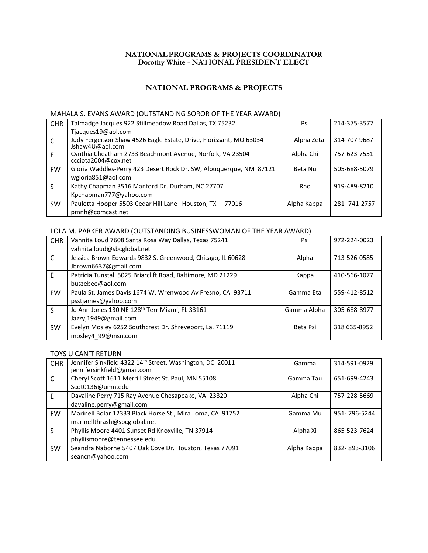#### **NATIONALPROGRAMS & PROJECTS COORDINATOR Dorothy White - NATIONAL PRESIDENT ELECT**

## **NATIONAL PROGRAMS & PROJECTS**

#### MAHALA S. EVANS AWARD (OUTSTANDING SOROR OF THE YEAR AWARD)

| <b>CHR</b>   | Talmadge Jacques 922 Stillmeadow Road Dallas, TX 75232                                | Psi         | 214-375-3577 |
|--------------|---------------------------------------------------------------------------------------|-------------|--------------|
|              | Tjacques19@aol.com                                                                    |             |              |
| $\mathsf{C}$ | Judy Fergerson-Shaw 4526 Eagle Estate, Drive, Florissant, MO 63034<br>Jshaw4U@aol.com | Alpha Zeta  | 314-707-9687 |
| E            | Cynthia Cheatham 2733 Beachmont Avenue, Norfolk, VA 23504<br>ccciota2004@cox.net      | Alpha Chi   | 757-623-7551 |
| <b>FW</b>    | Gloria Waddles-Perry 423 Desert Rock Dr. SW, Albuquerque, NM 87121                    | Beta Nu     | 505-688-5079 |
|              | wgloria851@aol.com                                                                    |             |              |
| S            | Kathy Chapman 3516 Manford Dr. Durham, NC 27707                                       | <b>Rho</b>  | 919-489-8210 |
|              | Kpchapman777@yahoo.com                                                                |             |              |
| <b>SW</b>    | Pauletta Hooper 5503 Cedar Hill Lane Houston, TX 77016                                | Alpha Kappa | 281-741-2757 |
|              | pmnh@comcast.net                                                                      |             |              |

#### LOLA M. PARKER AWARD (OUTSTANDING BUSINESSWOMAN OF THE YEAR AWARD)

| <b>CHR</b> | Vahnita Loud 7608 Santa Rosa Way Dallas, Texas 75241        | Psi         | 972-224-0023 |
|------------|-------------------------------------------------------------|-------------|--------------|
|            | vahnita.loud@sbcglobal.net                                  |             |              |
| C          | Jessica Brown-Edwards 9832 S. Greenwood, Chicago, IL 60628  | Alpha       | 713-526-0585 |
|            | Jbrown6637@gmail.com                                        |             |              |
| E          | Patricia Tunstall 5025 Briarclift Road, Baltimore, MD 21229 | Kappa       | 410-566-1077 |
|            | buszebee@aol.com                                            |             |              |
| <b>FW</b>  | Paula St. James Davis 1674 W. Wrenwood Av Fresno, CA 93711  | Gamma Eta   | 559-412-8512 |
|            | psstjames@yahoo.com                                         |             |              |
| S          | Jo Ann Jones 130 NE 128 <sup>th</sup> Terr Miami, FL 33161  | Gamma Alpha | 305-688-8977 |
|            | Jazzyj1949@gmail.com                                        |             |              |
| <b>SW</b>  | Evelyn Mosley 6252 Southcrest Dr. Shreveport, La. 71119     | Beta Psi    | 318 635-8952 |
|            | mosley4 99@msn.com                                          |             |              |

## TOYS U CAN'T RETURN

| <b>CHR</b> | Jennifer Sinkfield 4322 14 <sup>th</sup> Street, Washington, DC 20011<br>jennifersinkfield@gmail.com | Gamma       | 314-591-0929 |
|------------|------------------------------------------------------------------------------------------------------|-------------|--------------|
| C          | Cheryl Scott 1611 Merrill Street St. Paul, MN 55108                                                  | Gamma Tau   | 651-699-4243 |
|            | Scot0136@umn.edu                                                                                     |             |              |
| F          | Davaline Perry 715 Ray Avenue Chesapeake, VA 23320                                                   | Alpha Chi   | 757-228-5669 |
|            | davaline.perry@gmail.com                                                                             |             |              |
| <b>FW</b>  | Marinell Bolar 12333 Black Horse St., Mira Loma, CA 91752<br>marinellthrash@sbcglobal.net            | Gamma Mu    | 951-796-5244 |
| S          | Phyllis Moore 4401 Sunset Rd Knoxville, TN 37914                                                     | Alpha Xi    | 865-523-7624 |
|            | phyllismoore@tennessee.edu                                                                           |             |              |
| <b>SW</b>  | Seandra Naborne 5407 Oak Cove Dr. Houston, Texas 77091                                               | Alpha Kappa | 832-893-3106 |
|            | seancn@yahoo.com                                                                                     |             |              |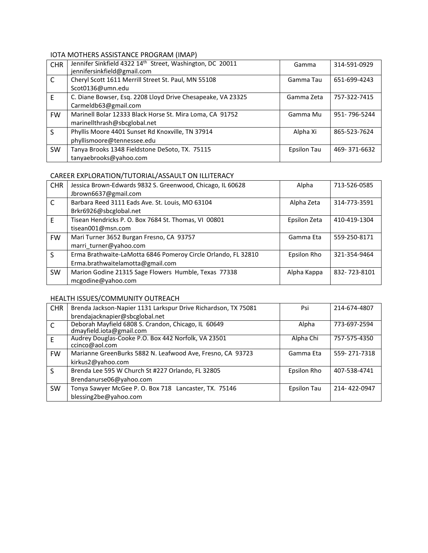## IOTA MOTHERS ASSISTANCE PROGRAM (IMAP)

| <b>CHR</b>   | Jennifer Sinkfield 4322 14th Street, Washington, DC 20011<br>jennifersinkfield@gmail.com | Gamma       | 314-591-0929 |
|--------------|------------------------------------------------------------------------------------------|-------------|--------------|
| C            | Cheryl Scott 1611 Merrill Street St. Paul, MN 55108<br>Scot0136@umn.edu                  | Gamma Tau   | 651-699-4243 |
| E            | C. Diane Bowser, Esq. 2208 Lloyd Drive Chesapeake, VA 23325<br>Carmeldb63@gmail.com      | Gamma Zeta  | 757-322-7415 |
| <b>FW</b>    | Marinell Bolar 12333 Black Horse St. Mira Loma, CA 91752<br>marinellthrash@sbcglobal.net | Gamma Mu    | 951-796-5244 |
| <sub>S</sub> | Phyllis Moore 4401 Sunset Rd Knoxville, TN 37914<br>phyllismoore@tennessee.edu           | Alpha Xi    | 865-523-7624 |
| <b>SW</b>    | Tanya Brooks 1348 Fieldstone DeSoto, TX. 75115<br>tanyaebrooks@yahoo.com                 | Epsilon Tau | 469-371-6632 |

#### CAREER EXPLORATION/TUTORIAL/ASSAULT ON ILLITERACY

| <b>CHR</b>   | Jessica Brown-Edwards 9832 S. Greenwood, Chicago, IL 60628<br>Jbrown6637@gmail.com                | Alpha        | 713-526-0585 |
|--------------|---------------------------------------------------------------------------------------------------|--------------|--------------|
| C            | Barbara Reed 3111 Eads Ave. St. Louis, MO 63104<br>Brkr6926@sbcglobal.net                         | Alpha Zeta   | 314-773-3591 |
| F            | Tisean Hendricks P. O. Box 7684 St. Thomas, VI 00801<br>tisean001@msn.com                         | Epsilon Zeta | 410-419-1304 |
| <b>FW</b>    | Mari Turner 3652 Burgan Fresno, CA 93757<br>marri turner@yahoo.com                                | Gamma Eta    | 559-250-8171 |
| <sub>S</sub> | Erma Brathwaite-LaMotta 6846 Pomeroy Circle Orlando, FL 32810<br>Erma.brathwaitelamotta@gmail.com | Epsilon Rho  | 321-354-9464 |
| <b>SW</b>    | Marion Godine 21315 Sage Flowers Humble, Texas 77338<br>mcgodine@yahoo.com                        | Alpha Kappa  | 832-723-8101 |

# HEALTH ISSUES/COMMUNITY OUTREACH

| <b>CHR</b>   | Brenda Jackson-Napier 1131 Larkspur Drive Richardson, TX 75081                  | Psi         | 214-674-4807 |
|--------------|---------------------------------------------------------------------------------|-------------|--------------|
|              | brendajacknapier@sbcglobal.net                                                  |             |              |
| C            | Deborah Mayfield 6808 S. Crandon, Chicago, IL 60649<br>dmayfield.iota@gmail.com | Alpha       | 773-697-2594 |
| F            | Audrey Douglas-Cooke P.O. Box 442 Norfolk, VA 23501<br>ccinco@aol.com           | Alpha Chi   | 757-575-4350 |
| <b>FW</b>    | Marianne GreenBurks 5882 N. Leafwood Ave, Fresno, CA 93723                      | Gamma Eta   | 559-271-7318 |
|              | kirkus2@yahoo.com                                                               |             |              |
| <sub>S</sub> | Brenda Lee 595 W Church St #227 Orlando, FL 32805                               | Epsilon Rho | 407-538-4741 |
|              | Brendanurse06@yahoo.com                                                         |             |              |
| <b>SW</b>    | Tonya Sawyer McGee P. O. Box 718 Lancaster, TX. 75146                           | Epsilon Tau | 214-422-0947 |
|              | blessing2be@yahoo.com                                                           |             |              |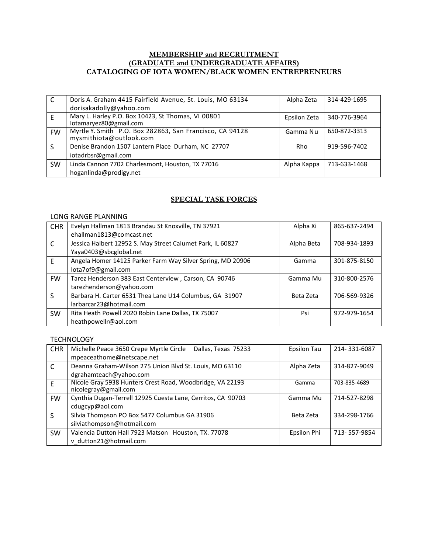#### **MEMBERSHIP and RECRUITMENT (GRADUATE and UNDERGRADUATE AFFAIRS) CATALOGING OF IOTA WOMEN/BLACK WOMEN ENTREPRENEURS**

| C         | Doris A. Graham 4415 Fairfield Avenue, St. Louis, MO 63134                          | Alpha Zeta   | 314-429-1695 |
|-----------|-------------------------------------------------------------------------------------|--------------|--------------|
|           | dorisakadolly@yahoo.com                                                             |              |              |
|           | Mary L. Harley P.O. Box 10423, St Thomas, VI 00801<br>lotamaryez80@gmail.com        | Epsilon Zeta | 340-776-3964 |
| <b>FW</b> | Myrtle Y. Smith P.O. Box 282863, San Francisco, CA 94128<br>mysmithiota@outlook.com | Gamma Nu     | 650-872-3313 |
|           | Denise Brandon 1507 Lantern Place Durham, NC 27707                                  | Rho          | 919-596-7402 |
|           | iotadrbsr@gmail.com                                                                 |              |              |
| <b>SW</b> | Linda Cannon 7702 Charlesmont, Houston, TX 77016                                    | Alpha Kappa  | 713-633-1468 |
|           | hoganlinda@prodigy.net                                                              |              |              |

## **SPECIAL TASK FORCES**

#### LONG RANGE PLANNING

| <b>CHR</b>   | Evelyn Hallman 1813 Brandau St Knoxville, TN 37921         | Alpha Xi   | 865-637-2494 |
|--------------|------------------------------------------------------------|------------|--------------|
|              | ehallman1813@comcast.net                                   |            |              |
| $\mathsf{C}$ | Jessica Halbert 12952 S. May Street Calumet Park, IL 60827 | Alpha Beta | 708-934-1893 |
|              | Yaya0403@sbcglobal.net                                     |            |              |
| E            | Angela Homer 14125 Parker Farm Way Silver Spring, MD 20906 | Gamma      | 301-875-8150 |
|              | lota7of9@gmail.com                                         |            |              |
| <b>FW</b>    | Tarez Henderson 383 East Centerview, Carson, CA 90746      | Gamma Mu   | 310-800-2576 |
|              | tarezhenderson@yahoo.com                                   |            |              |
| $\mathsf{S}$ | Barbara H. Carter 6531 Thea Lane U14 Columbus, GA 31907    | Beta Zeta  | 706-569-9326 |
|              | larbarcar23@hotmail.com                                    |            |              |
| <b>SW</b>    | Rita Heath Powell 2020 Robin Lane Dallas, TX 75007         | Psi        | 972-979-1654 |
|              | heathpowellr@aol.com                                       |            |              |

#### **TECHNOLOGY**

| <b>CHR</b>   | Michelle Peace 3650 Crepe Myrtle Circle<br>Dallas, Texas 75233                    | Epsilon Tau | 214-331-6087 |
|--------------|-----------------------------------------------------------------------------------|-------------|--------------|
|              | mpeaceathome@netscape.net                                                         |             |              |
| C            | Deanna Graham-Wilson 275 Union Blvd St. Louis, MO 63110                           | Alpha Zeta  | 314-827-9049 |
|              | dgrahamteach@yahoo.com                                                            |             |              |
| F            | Nicole Gray 5938 Hunters Crest Road, Woodbridge, VA 22193<br>nicolegray@gmail.com | Gamma       | 703-835-4689 |
| <b>FW</b>    | Cynthia Dugan-Terrell 12925 Cuesta Lane, Cerritos, CA 90703                       | Gamma Mu    | 714-527-8298 |
|              | cdugcyp@aol.com                                                                   |             |              |
| $\mathsf{S}$ | Silvia Thompson PO Box 5477 Columbus GA 31906                                     | Beta Zeta   | 334-298-1766 |
|              | silviathompson@hotmail.com                                                        |             |              |
| <b>SW</b>    | Valencia Dutton Hall 7923 Matson Houston, TX. 77078                               | Epsilon Phi | 713-557-9854 |
|              | v dutton21@hotmail.com                                                            |             |              |